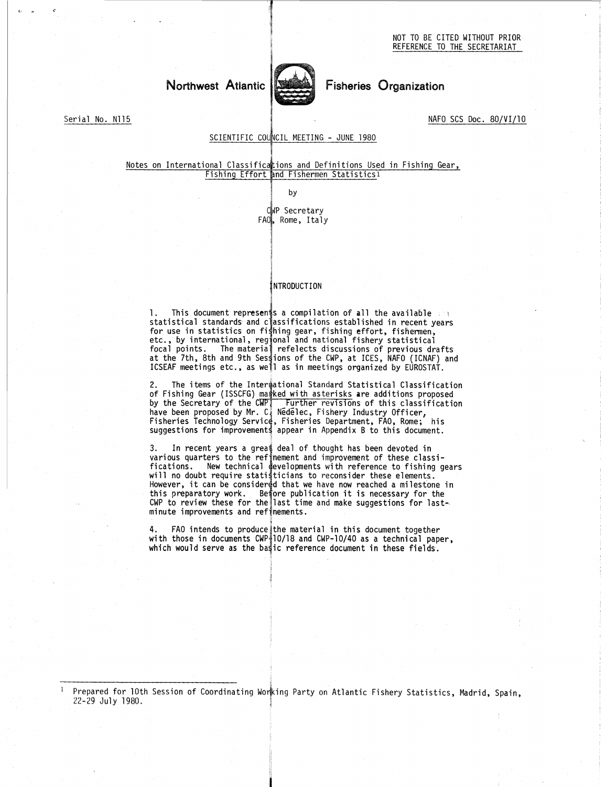# Northwest Atlantic



# Fisheries Organization

Serial No. N115 NAFO SCS Doc. 80/VI/10

## SCIENTIFIC COUNCIL MEETING - JUNE 1980

#### Notes on International Classific4ions and Definitions Used in Fishing Gear, Fishing Effort and Fishermen Statistics1

by

CWP Secretary FAO, Rome, Italy

#### INTRODUCTION

Fishing Effort and Fishermen Statistics!<br>
by<br>
DuP Secretary<br>
FAO, Rome, Italy<br>
NTRODUCTION<br>
1. This document represents a compilation of all the available<br>
statistical standards and classifications established in recent ye for use in statistics on fighing gear, fishing effort, fishermen, etc., by international, regional and national fishery statistical FAO, Rome, Italy<br>
RTRODUCTION<br>
I. This document represents a compilation of all the available<br>
statistical standards and classifications established in recent years<br>
for use in statistics on fishing gear, fishing effort, f focal points. The material refelects discussions of previous drafts<br>at the 7th, 8th and 9th Sessions of the CWP, at ICES, NAFO (ICNAF) and ICSEAF meetings etc., as wejl as in meetings organized by EUROSTAT.

The items of the Interiational Standard Statistical Classification of Fishing Gear (ISSCFG) marked with asterisks are additions proposed<br>by the Secretary of the CWPI - Further revisions of this classification<br>have been proposed by Mr. C. Nedelec, Fishery Industry Officer, Fisheries Technology Service, Fisheries Department, FAO, Rome; his suggestions for improvements appear in Appendix B to this document

In recent years a great deal of thought has been devoted in various quarters to the refinement and improvement of these classi-Fications. The methanon is the material of the CMP, is international, regional and national fishery statistical<br>focal points. The material refelects discussions of previous drafts<br>at the 7th, 8th and 9th Sessions of the CM will no doubt require statisticians to reconsider these elements. However, it can be considered that we have now reached a milestone in ICSEAF meetings etc., as we'll as in meetings organized by EUROSTAT.<br>2. The items of the Intermational Standard Statistical Classifics<br>of Fishing Gear (ISSCFG) marked with asterisks are additions propos<br>by the Secretary of CWP to review these for the last time and make suggestions for lastminute improvements and refinements.

<code>FAO</code> intends to produce the material in this document together with those in documents CWP $\frac{1}{4}$ 10/18 and CWP-10/40 as a technical paper, which would serve as the bastic reference document in these fields.

Prepared for 10th Session of Coordinating Working Party on Atlantic Fishery Statistics, Madrid, Spain, 22-29 July 1980.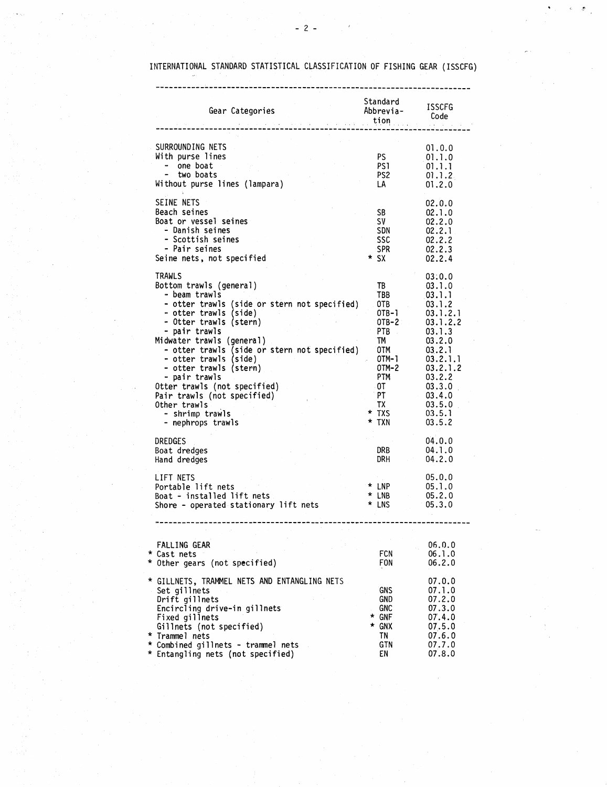| $-2-$<br>INTERNATIONAL STANDARD STATISTICAL CLASSIFICATION OF FISHING GEAR (ISSCFG                                                                                                                                                                                                                                                                                                                                                             |                                                                                                                                           |                                                                                                                                                                                  |  |  |  |
|------------------------------------------------------------------------------------------------------------------------------------------------------------------------------------------------------------------------------------------------------------------------------------------------------------------------------------------------------------------------------------------------------------------------------------------------|-------------------------------------------------------------------------------------------------------------------------------------------|----------------------------------------------------------------------------------------------------------------------------------------------------------------------------------|--|--|--|
| Gear Categories<br>Code<br>با این مسلم یا tion<br>با این مسلم یا این مسلم یا این مسلم یا این مسلم یا این مسلم یا این مسلم یا این مسلم یا این مسلم یا این مسلم یا                                                                                                                                                                                                                                                                               | Standard<br>Abbrevia-                                                                                                                     | ISSCFG                                                                                                                                                                           |  |  |  |
| SURROUNDING NETS<br>With purse lines<br>- one boat<br>- two boats<br>Without purse lines (lampara)                                                                                                                                                                                                                                                                                                                                             | PS -<br>PS1 -<br>PS <sub>2</sub><br>LA                                                                                                    | 01.0.0<br>01.1.0<br>01.1.1<br>01.1.2<br>01.2.0                                                                                                                                   |  |  |  |
| SEINE NETS<br>Beach seines<br>Boat or vessel seines<br>- Danish seines<br>- Scottish seines<br>- Pair seines<br>Seine nets, not specified                                                                                                                                                                                                                                                                                                      | SB -<br>SV –<br>SDN<br><b>SSC</b><br>SPR.<br>$*$ SX                                                                                       | 02.0.0<br>02.1.0<br>02.2.0<br>02.2.1<br>02.2.2<br>02.2.3<br>02.2.4                                                                                                               |  |  |  |
| TRAWLS<br>Bottom trawls (general)<br>- beam trawls<br>- otter trawls (side or stern not specified)<br>- otter trawls (side)<br>- Otter trawls (stern)<br>- pair trawls<br>Midwater trawls (general)<br>- otter trawls (side or stern not specified)<br>- otter trawls (side)<br>- otter trawls (stern)<br>- pair trawls<br>Otter trawls (not specified)<br>Pair trawls (not specified)<br>Other trawls<br>- shrimp trawls<br>- nephrops trawls | TB<br>TBB<br>OTB .<br>$OTB-1$<br>$OTB - 2$<br>PTB -<br>TM<br>OTM<br>OTM-1<br>OTM-2<br><b>PTM</b><br>∴0T –<br>PT.<br>TX.<br>* TXS<br>* TXN | 03:0.0<br>03.1.0<br>[03.1.1]<br>03.1.2<br>03.1.2.1<br>03.1.2.2<br>03.1.3<br>03.2.0<br>03.2.1<br>03.2.1.1<br>03.2.1.2<br>03.2.2<br>03.3.0<br>03.4.0<br>03.5.0<br>03.5.1<br>03.5.2 |  |  |  |
| DREDGES<br>Boat dredges<br>Hand dredges                                                                                                                                                                                                                                                                                                                                                                                                        | DRB<br>DRH                                                                                                                                | 04.0.0<br>04.1.0<br>04.2.0                                                                                                                                                       |  |  |  |
| LIFT NETS<br>Portable lift nets<br>Boat - installed lift nets<br>Shore - operated stationary lift nets                                                                                                                                                                                                                                                                                                                                         | * LNP<br>* LNB<br>* LNS                                                                                                                   | 05.0.0<br>05.1.0<br>05.2.0<br>05.3.0                                                                                                                                             |  |  |  |
| FALLING GEAR<br>* Cast nets                                                                                                                                                                                                                                                                                                                                                                                                                    | FCN                                                                                                                                       | 06.0.0<br>06.1.0                                                                                                                                                                 |  |  |  |
| * Other gears (not specified)<br>* GILLNETS, TRAMMEL NETS AND ENTANGLING NETS<br>Set gillnets<br>Drift gillnets<br>Encircling drive-in gillnets<br>Fixed gillnets<br>Gillnets (not specified)<br>* Trammel nets<br>* Combined gillnets - trammel nets<br>* Entangling nets (not specified)                                                                                                                                                     | <b>FON</b><br><b>GNS</b><br>GND.<br><b>GNC</b><br>$*$ GNF<br>* GNX<br>TN<br>GTN<br>EN                                                     | 06.2.0<br>07.0.0<br>07.1.0<br>07.2.0<br>07.3.0<br>07.4.0<br>07.5.0<br>07.6.0<br>07.7.0<br>07.8.0                                                                                 |  |  |  |
|                                                                                                                                                                                                                                                                                                                                                                                                                                                |                                                                                                                                           |                                                                                                                                                                                  |  |  |  |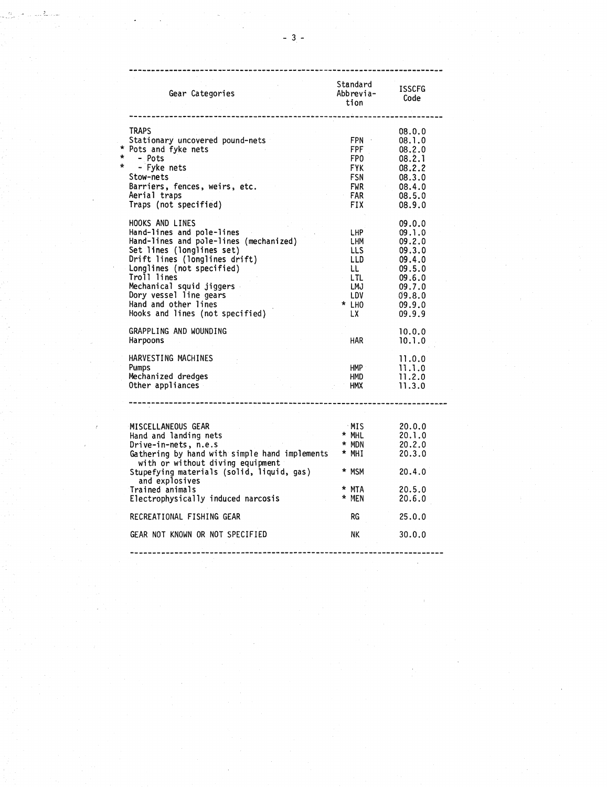|         | $-3-$                                                                                                                                                                                                                                                                                                             |                                                                            |                                                                                                            |
|---------|-------------------------------------------------------------------------------------------------------------------------------------------------------------------------------------------------------------------------------------------------------------------------------------------------------------------|----------------------------------------------------------------------------|------------------------------------------------------------------------------------------------------------|
|         |                                                                                                                                                                                                                                                                                                                   |                                                                            |                                                                                                            |
|         | Gear Categories                                                                                                                                                                                                                                                                                                   | Standard<br>Abbrevia-<br>tion                                              | <b>ISSCFG</b><br>Code                                                                                      |
| *<br>÷  | TRAPS<br>Stationary uncovered pound-nets<br>Pots and fyke nets<br>- Pots                                                                                                                                                                                                                                          | FPN ·<br>FPF.<br>FP0                                                       | 08.0.0<br>08.1.0<br>08.2.0                                                                                 |
| $\star$ | - Fyke nets<br>Stow-nets<br>Barriers, fences, weirs, etc.<br>Aerial traps<br>Traps (not specified)                                                                                                                                                                                                                | <b>FYK</b><br>FSN<br>FWR .<br>FAR<br>FIX.                                  | 08.2.1<br>08.2.2<br>08.3.0<br>08.4.0<br>08.5.0<br>08.9.0                                                   |
|         | HOOKS AND LINES<br>Hand-lines and pole-lines<br>Hand-lines and pole-lines (mechanized)<br>Set lines (longlines set)<br>Drift lines (longlines drift)<br>Longlines (not specified)<br>Troll lines<br>Mechanical squid jiggers<br>Dory vessel line gears<br>Hand and other lines<br>Hooks and lines (not specified) | LHP<br>LHM.<br>LLS.<br>LLD.<br>LL.<br>LTL.<br>LMJ.<br>LDV.<br>* LHO<br>LX. | 09.0.0<br>09.1.0<br>09.2.0<br>09.3.0<br>09.4.0<br>09.5.0<br>09.6.0<br>09.7.0<br>09.8.0<br>09.9.0<br>09.9.9 |
|         | GRAPPLING AND WOUNDING<br>Harpoons                                                                                                                                                                                                                                                                                | HAR.                                                                       | 10.0.0<br>10.1.0                                                                                           |
|         | HARVESTING MACHINES<br>Pumps<br>Mechanized dredges<br>Other appliances                                                                                                                                                                                                                                            | HMP :<br>HMD<br>нмх                                                        | 11.0.0<br>11.1.0<br>11.2.0<br>11.3.0                                                                       |
|         |                                                                                                                                                                                                                                                                                                                   |                                                                            |                                                                                                            |
|         | MISCELLANEOUS GEAR<br>Hand and landing nets<br>Drive-in-nets, n.e.s<br>Gathering by hand with simple hand implements<br>with or without diving equipment                                                                                                                                                          | MIS<br>$*$ MHL<br>$*$ MDN<br>$*$ MHI                                       | 20.0.0<br>20.1.0<br>20.2.0<br>20.3.0                                                                       |
|         | Stupefying materials (solid, liquid, gas)<br>and explosives<br>Trained animals                                                                                                                                                                                                                                    | * MSM<br>* MTA<br>* MEN                                                    | 20.4.0<br>20.5.0                                                                                           |
|         | Electrophysically induced narcosis                                                                                                                                                                                                                                                                                |                                                                            | 20.6.0                                                                                                     |
|         | RECREATIONAL FISHING GEAR<br>GEAR NOT KNOWN OR NOT SPECIFIED                                                                                                                                                                                                                                                      | RG<br>NK                                                                   | 25.0.0<br>30.0.0                                                                                           |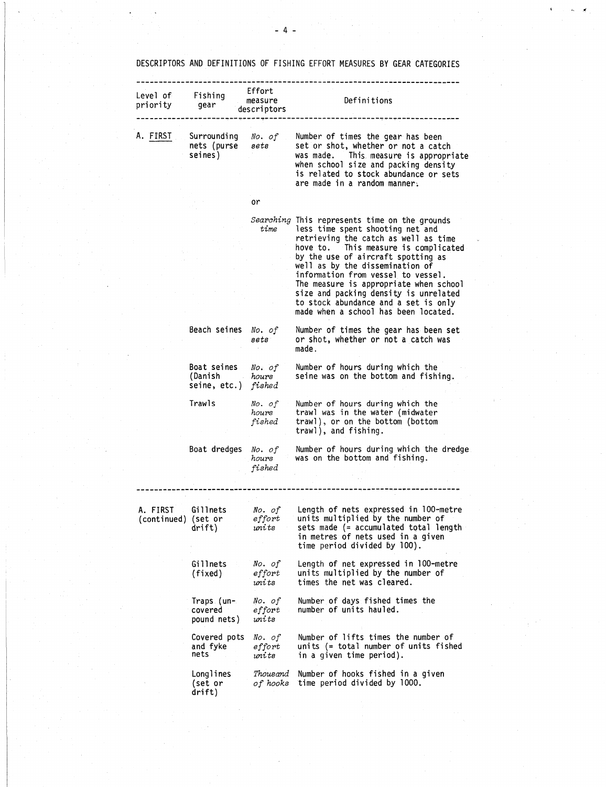|                                 |                                                                   |                                  | DESCRIPTORS AND DEFINITIONS OF FISHING EFFORT MEASURES BY GEAR CATEGORIES                                                                                                                                                                                                                                                                                                                                                                           |
|---------------------------------|-------------------------------------------------------------------|----------------------------------|-----------------------------------------------------------------------------------------------------------------------------------------------------------------------------------------------------------------------------------------------------------------------------------------------------------------------------------------------------------------------------------------------------------------------------------------------------|
| Level of Fishing<br>priority    | gear                                                              | Effort<br>measure<br>descriptors | Definitions                                                                                                                                                                                                                                                                                                                                                                                                                                         |
| A. FIRST J                      | nets (purse sets<br>seines)                                       |                                  | Surrounding No. of Number of times the gear has been<br>set or shot, whether or not a catch<br>was made. This measure is appropriate<br>when school size and packing density<br>is related to stock abundance or sets<br>are made in a random manner.                                                                                                                                                                                               |
|                                 |                                                                   | or                               |                                                                                                                                                                                                                                                                                                                                                                                                                                                     |
|                                 |                                                                   | time                             | Searching This represents time on the grounds<br>less time spent shooting net and<br>retrieving the catch as well as time<br>hove to. This measure is complicated<br>by the use of aircraft spotting as<br>well as by the dissemination of<br>information from vessel to vessel.<br>The measure is appropriate when school<br>size and packing density is unrelated<br>to stock abundance and a set is only<br>made when a school has been located. |
|                                 | Beach seines No. of                                               | sets                             | Number of times the gear has been set<br>or shot, whether or not a catch was<br>made.                                                                                                                                                                                                                                                                                                                                                               |
|                                 | Boat seines No. of<br>(Danish <i>hours</i><br>seine, etc.) fished |                                  | Number of hours during which the<br>seine was on the bottom and fishing.                                                                                                                                                                                                                                                                                                                                                                            |
|                                 | Trawls                                                            | No. of<br>hours<br>fished        | Number of hours during which the<br>trawl was in the water (midwater<br>trawl), or on the bottom (bottom<br>trawl), and fishing.                                                                                                                                                                                                                                                                                                                    |
|                                 | Boat dredges                                                      | No. of<br>hours<br>fished        | Number of hours during which the dredge<br>was on the bottom and fishing.                                                                                                                                                                                                                                                                                                                                                                           |
|                                 |                                                                   |                                  |                                                                                                                                                                                                                                                                                                                                                                                                                                                     |
| A. FIRST<br>(continued) (set or | Gillnets<br>drift)                                                | No. of<br>effort<br>units        | Length of nets expressed in 100-metre<br>units multiplied by the number of<br>sets made (= accumulated total length<br>in metres of nets used in a given<br>time period divided by 100).                                                                                                                                                                                                                                                            |
|                                 | Gillnets<br>(fixed)                                               | No. of<br>effort<br>units        | Length of net expressed in 100-metre<br>units multiplied by the number of<br>times the net was cleared.                                                                                                                                                                                                                                                                                                                                             |
|                                 | Traps (un-<br>covered<br>pound nets)                              | No. of<br>effort<br>units        | Number of days fished times the<br>number of units hauled.                                                                                                                                                                                                                                                                                                                                                                                          |
|                                 | Covered pots<br>and fyke<br>nets                                  | No. of<br>effort<br>units        | Number of lifts times the number of<br>units (= total number of units fished<br>in a given time period).                                                                                                                                                                                                                                                                                                                                            |
|                                 | Longlines<br>(set or<br>drift)                                    | Thousand<br>of hooks             | Number of hooks fished in a given<br>time period divided by 1000.                                                                                                                                                                                                                                                                                                                                                                                   |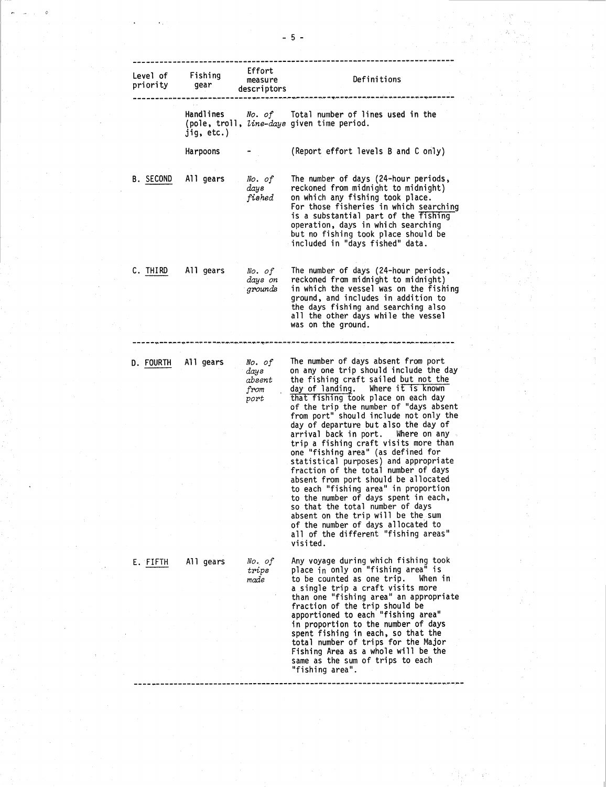|                      |                         |                                          | - 5 -                                                                                                                                                                                                                                                                                                                                                                                                                                                                                                                                            |
|----------------------|-------------------------|------------------------------------------|--------------------------------------------------------------------------------------------------------------------------------------------------------------------------------------------------------------------------------------------------------------------------------------------------------------------------------------------------------------------------------------------------------------------------------------------------------------------------------------------------------------------------------------------------|
| Level of<br>priority | Fishing<br>gear         | Effort<br>measure<br>descriptors         | Definitions                                                                                                                                                                                                                                                                                                                                                                                                                                                                                                                                      |
|                      | Handlines<br>jiq, etc.) |                                          | No. of Iotal number of lines used in the<br>(pole, troll, line-days given time period.                                                                                                                                                                                                                                                                                                                                                                                                                                                           |
|                      | Harpoons                |                                          | (Report effort levels B and C only)                                                                                                                                                                                                                                                                                                                                                                                                                                                                                                              |
| B. SECOND            | All gears               | No. of<br>days<br>fished                 | The number of days (24-hour periods,<br>reckoned from midnight to midnight)<br>on which any fishing took place.<br>For those fisheries in which searching<br>is a substantial part of the fishing<br>operation, days in which searching<br>but no fishing took place should be<br>included in "days fished" data.                                                                                                                                                                                                                                |
| C. THIRD             | All gears               | No. of<br>days on<br>grounds             | The number of days (24-hour periods,<br>reckoned from midnight to midnight)<br>in which the vessel was on the fishing<br>ground, and includes in addition to<br>the days fishing and searching also<br>all the other days while the vessel<br>was on the ground.                                                                                                                                                                                                                                                                                 |
| D. FOURTH            | All gears               | No. of<br>days<br>absent<br>from<br>port | ,,,,,,,,,,,,,,,,,,,,,,,,<br>The number of days absent from port<br>on any one trip should include the day<br>the fishing craft sailed but not the<br>day of landing.<br>Where it is known<br>that fishing took place on each day<br>of the trip the number of "days absent<br>from port" should include not only the                                                                                                                                                                                                                             |
|                      |                         |                                          | day of departure but also the day of<br>arrival back in port.<br>Where on any $\sim$<br>trip a fishing craft visits more than<br>one "fishing area" (as defined for<br>statistical purposes) and appropriate<br>fraction of the total number of days<br>absent from port should be allocated<br>to each "fishing area" in proportion<br>to the number of days spent in each,<br>so that the total number of days<br>absent on the trip will be the sum<br>of the number of days allocated to<br>all of the different "fishing areas"<br>visited. |
| E. FIFTH             | All gears               | No. of<br>trips<br>made                  | Any voyage during which fishing took<br>place in only on "fishing area" is<br>to be counted as one trip.<br>When in<br>a single trip a craft visits more<br>than one "fishing area" an appropriate<br>fraction of the trip should be<br>apportioned to each "fishing area"<br>in proportion to the number of days<br>spent fishing in each, so that the<br>total number of trips for the Major<br>Fishing Area as a whole will be the<br>camo ac tho cum of trine to oach.                                                                       |

 $\sigma_{\rm{max}}$ 

ŧ.

-...

 $\boldsymbol{\tau}$ 

 $\hat{\mathcal{L}}$ 

Ť.

same as the sum of trips to each "fishing area".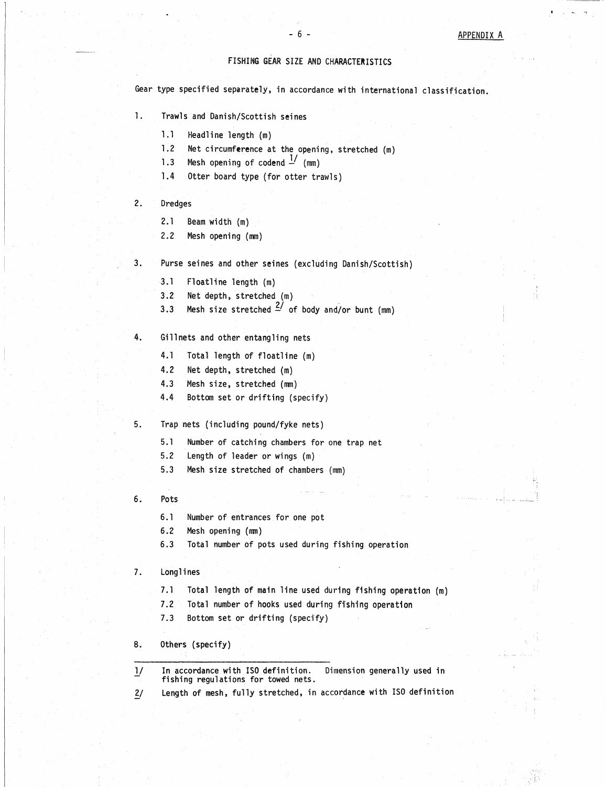# - 6 -<br>IZE AND CHARACTERISTICS FISHING GEAR SIZE AND CHARACTERISTICS

Gear type specified separately, in accordance with international classification. FISHING GE<br>
ype specified separately,<br>
Trawls and Danish/Scottis<br>
1.1 Headline length (m)<br>
1.2 Net circumference a<br>
1.3 Mesh opening of cod FISHING GEAR SIZE AND CHARACTERISTICS<br>ype specified separately, in accordance with internat<br>Trawls and Danish/Scottish seines<br>1.1 Headline length (m)<br>1.2 Net circumference at the opening, stretched (m)<br>1.3 Mesh opening of Example specified separately, in accordancy<br>
1.1 Headline length (m)<br>
1.2 Net circumference at the openial.3 Mesh opening of codend  $\frac{1}{n}$  (mm)<br>
1.4 Otter board type (for otter tr ype specified separately, in accordance w<br>Trawls and Danish/Scottish seines<br>1.1 Headline length (m)<br>1.2 Net circumference at the opening, s<br>1.3 Mesh opening of codend  $\frac{1}{\sqrt{2}}$  (mm)<br>1.4 Otter board type (for otter traw

- $1.$ Trawls and Danish/Scottish seines
	- Frawis and Danish/Sc<br>
	1.1 Headline lengt<br>
	1.2 Net circumfere<br>
	1.3 Mesh opening c<br>
	2.1 Beam width (m)<br>
	2.2 Mesh opening (
	-
	-
	-
- $2.$ Dredges
	-
- 1.2 Net circumference<br>1.3 Mesh opening of<br>1.4 Otter board type<br>Dredges<br>2.1 Beam width (m)<br>2.2 Mesh opening (mm
- 1.4 Otter board type (TC<br>Dredges<br>2.1 Beam width (m)<br>2.2 Mesh opening (mm)<br>Purse seines and other sei<br>3.1 Floatline length (m)<br>3.2 Net depth, stretched<br>3.3 Mesh size stretched  $3.$ Purse seines and other seines (excluding Danish/Scottish)
	-
	-
	- Dredges<br>2.2 Mesh opening (mm)<br>2.2 Mesh opening (mm)<br>Purse seines and other seines<br>3.1 Floatline length (m)<br>3.2 Net depth, stretched (m)<br>3.3 Mesh size stretched 2/c 2.2 Mesh opening (mm)<br>2.2 Mesh opening (mm)<br>Purse seines and other seines (excluding Danish/Scott<br>3.1 Floatline length (m)<br>3.2 Net depth, stretched  $\frac{2}{1}$  of body and/or bunt (mm)<br>6.11 meta and other articular note<br>6.1 Purse seines and other seines (excl<br>
	3.1 Floatline length (m)<br>
	3.2 Net depth, stretched (m)<br>
	3.3 Mesh size stretched  $\frac{2}{\ }$  of bod<br>
	Gillnets and other entangling nets<br>
	4.1 Total length of floatline (m)<br>
	4.2 Net depth, 3.1 Floatline length (m)<br>3.2 Net depth, stretched (m)<br>3.3 Mesh size stretched  $\frac{2}{\pi}$  c<br>Gillnets and other entangling<br>4.1 Total length of floatlin<br>4.2 Net depth, stretched (m)<br>4.3 Mesh size, stretched (m) 3.2 Net depth, stretched  $\frac{2}{ }$  of<br>3.3 Mesh size stretched  $\frac{2}{ }$  of<br>Gillnets and other entangling r<br>4.1 Total length of floatline<br>4.2 Net depth, stretched  $(m)$ <br>4.3 Mesh size, stretched  $(mm)$ <br>4.4 Bottom set or driftin 3.3 Mesh size stretched  $\frac{27}{100}$  of body a<br>Gillnets and other entangling nets<br>4.1 Total length of floatline (m)<br>4.2 Net depth, stretched (m)<br>4.3 Mesh size, stretched (mm)<br>4.4 Bottom set or drifting (specify)<br>Tran nets
- 4. Gillnets and other entangling nets
	-
	-
	-
	-
- 5. Trap nets (including pound/fyke nets)
- Gillnets and other entangling nets<br>4.1 Total length of floatline (m)<br>4.2 Net depth, stretched (m)<br>4.3 Mesh size, stretched (mm)<br>4.4 Bottom set or drifting (specify)<br>Trap nets (including pound/fyke nets)<br>5.1 Number of catch 4.2 Net depth, stretched (m)<br>4.3 Mesh size, stretched (mm)<br>4.4 Bottom set or drifting (specify)<br>Trap nets (including pound/fyke nets)<br>5.1 Number of catching chambers for one<br>5.2 Length of leader or wings (m)<br>5.3 Mesh size
- 4.1 Iotal length of floatline (m)<br>4.2 Net depth, stretched (m)<br>4.3 Mesh size, stretched (mm)<br>4.4 Bottom set or drifting (speci<br>5.1 Number of catching chambers 1<br>5.2 Length of leader or wings (m)<br>5.3 Mesh size stretched of Trap nets (including pound/fyke nets)<br>5.1 Number of catching chambers for<br>5.2 Length of leader or wings (m)<br>5.3 Mesh size stretched of chambers<br>Pots<br>6.1 Number of entrances for one pot<br>6.2 Mesh opening (mm)<br>6.3 Total numbe 5.1 Number of catchin<br>5.2 Length of leader<br>5.3 Mesh size stretch<br>Pots<br>6.1 Number of entranc<br>6.2 Mesh opening (mm)<br>6.3 Total number of p
	-
- 6. Pots
	-
	-
- 6.2 Length of leader or wings (m)<br>5.3 Mesh size stretched of chambers (mm)<br>Pots<br>6.1 Number of entrances for one pot<br>6.2 Mesh opening (mm)<br>6.3 Total number of pots used during fishing operation<br>longlines
- Longlines
- Pots<br>5.1 Number of entrances for one pot<br>5.3 Total number of pots used during fishing operation<br>1.1 Total length of main line used during fishing operation (m)<br>7.2 Total number of hooks used during fishing operation<br>7.3 Bo 9.1 Number of entrances for one pot<br>6.2 Mesh opening (mm)<br>6.3 Total number of pots used during fishing operation<br>1.1 Total length of main line used during fishing operation<br>7.2 Total number of hooks used during fishing ope • 7.3 Musical number of entrances for one pot<br>
5.3 Total number of pots used during<br>
Longlines<br>
7.1 Total length of main line used c<br>
7.2 Total number of hooks used during<br>
7.3 Bottom set or drifting (specify)<br>
Others (spe
	-
	-

Others (specify)

- 1/1 Total number of pots used during fishing operation<br>
1/1 Total length of main line used during fishing operation (m<br>
1/2 Total number of hooks used during fishing operation<br>
1/3 Bottom set or drifting (specify)<br>
1/1 In In accordance with ISO definition.<br>fishing regulations for towed nets. 2. Longlines<br>
2.1 Total length of main line used during fishing operation (m)<br>
2.2 Total number of hooks used during fishing operation<br>
2.3 Bottom set or drifting (specify)<br>
3. Others (specify)<br>
2.1 In accordance with ISO
-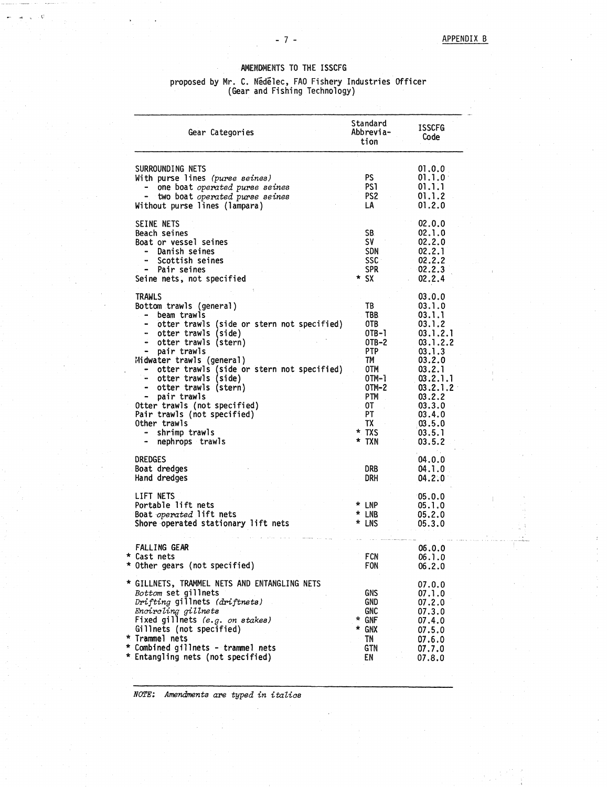## AMENDMENTS TO THE ISSCFG

### proposed by Mr. C. Nidelec, FAO Fishery Industries Officer (Gear and Fishing Technology)

| proposed by Mr. C. Nedelec, FAO Fishery Industries Officer<br>(Gear and Fishing Technology)                                                                                                                                                                                                                                                                                                                                                          |                                                                                                                       |                                                                                                                                                                                |  |  |
|------------------------------------------------------------------------------------------------------------------------------------------------------------------------------------------------------------------------------------------------------------------------------------------------------------------------------------------------------------------------------------------------------------------------------------------------------|-----------------------------------------------------------------------------------------------------------------------|--------------------------------------------------------------------------------------------------------------------------------------------------------------------------------|--|--|
| Gear Categories                                                                                                                                                                                                                                                                                                                                                                                                                                      | Standard<br>Abbrevia-<br>tion                                                                                         | <b>ISSCFG</b><br>Code                                                                                                                                                          |  |  |
| SURROUNDING NETS<br>With purse lines (purse seines)<br>one boat operated purse seines<br>two boat operated purse seines<br>Without purse lines (lampara)                                                                                                                                                                                                                                                                                             | PS.<br>PS 1<br>PS2.<br>LA                                                                                             | 01.0.0<br>01.1.0<br>01.1.1<br>01.1.2<br>01.2.0                                                                                                                                 |  |  |
| SEINE NETS<br>Beach seines<br>Boat or vessel seines<br>Danish seines<br>Scottish seines<br>- Pair seines<br>Seine nets, not specified                                                                                                                                                                                                                                                                                                                | SB.<br>SV<br>SDN<br>ssc :<br><b>SPR</b><br>* SX                                                                       | 02.0.0<br>02.1.0<br>02.2.0<br>02.2.1<br>02.2.2<br>02.2.3<br>02.2.4                                                                                                             |  |  |
| TRAWLS<br>Bottom trawls (general)<br>beam trawls<br>otter trawls (side or stern not specified)<br>otter trawls (side)<br>$\bullet$<br>otter trawls (stern)<br>pair trawls<br>Midwater trawls (general)<br>otter trawls (side or stern not specified)<br>- otter trawls (side)<br>otter trawls (stern)<br>$\bullet$<br>pair trawls<br>Otter trawls (not specified)<br>Pair trawls (not specified)<br>Other trawls<br>shrimp trawls<br>nephrops trawls | TB<br>TBB.<br>OTB.<br>0TB-1<br>OTB-2<br>PTP<br>TM<br>OTM<br>0TM-1<br>OTM-2<br>PTM<br>0Τ<br>PΤ<br>TX<br>* TXS<br>* TXN | 03.0.0<br>03.1.0<br>03.1.1<br>03.1.2<br>03.1.2.1<br>03.1.2.2<br>03.1.3<br>03.2.0<br>03.2.1<br>03.2.1.1<br>03.2.1.2<br>03.2.2<br>03.3.0<br>03.4.0<br>03.5.0<br>03.5.1<br>03.5.2 |  |  |
| <b>DREDGES</b><br>Boat dredges<br>Hand dredges                                                                                                                                                                                                                                                                                                                                                                                                       | DRB<br>drh                                                                                                            | 04.0.0<br>04.1.0<br>04.2:0                                                                                                                                                     |  |  |
| LIFT NETS<br>Portable lift nets<br>Boat <i>operated</i> lift nets<br>Shore operated stationary lift nets                                                                                                                                                                                                                                                                                                                                             | * LNP<br>* LNB<br>* LNS                                                                                               | 05.0.0<br>05.1.0<br>05.2.0<br>05.3.0                                                                                                                                           |  |  |
| FALLING GEAR<br>Cast nets<br>Other gears (not specified)                                                                                                                                                                                                                                                                                                                                                                                             | FCN<br>FON.                                                                                                           | 06.0.0<br>06.1.0<br>06.2.0                                                                                                                                                     |  |  |
| GILLNETS, TRAMMEL NETS AND ENTANGLING NETS<br>Bottom set gillnets<br>Drifting gillnets (driftnets)<br>Encircling gillnets<br>Fixed gillnets (e.g. on stakes)<br>Gillnets (not specified)<br>Trammel nets<br>Combined gillnets - trammel nets<br>Entangling nets (not specified)                                                                                                                                                                      | GNS<br><b>GND</b><br>GNC<br>* GNF<br>* GNX<br>TN<br>GTN<br>EN                                                         | 07.0.0<br>07.1.0<br>07.2.0<br>07.3.0<br>07.4.0<br>07.5.0<br>07.6.0<br>07.7.0<br>07.8.0                                                                                         |  |  |

*NOTE: Amendments are typed in italics*

-<br>- 7 -<br>TS TO  $-7 -$ 

. C